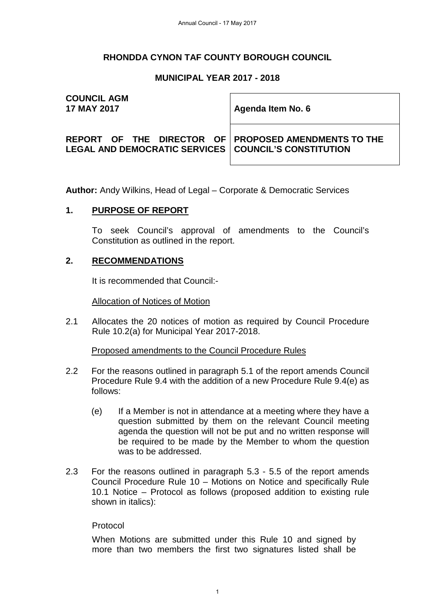#### **RHONDDA CYNON TAF COUNTY BOROUGH COUNCIL**

#### **MUNICIPAL YEAR 2017 - 2018**

# **COUNCIL AGM**

**17 MAY 2017 Agenda Item No. 6** 

**REPORT OF THE DIRECTOR OF LEGAL AND DEMOCRATIC SERVICES** 

**PROPOSED AMENDMENTS TO THE COUNCIL'S CONSTITUTION** 

**Author:** Andy Wilkins, Head of Legal – Corporate & Democratic Services

#### **1. PURPOSE OF REPORT**

To seek Council's approval of amendments to the Council's Constitution as outlined in the report.

#### **2. RECOMMENDATIONS**

It is recommended that Council:-

Allocation of Notices of Motion

2.1 Allocates the 20 notices of motion as required by Council Procedure Rule 10.2(a) for Municipal Year 2017-2018.

Proposed amendments to the Council Procedure Rules

- 2.2 For the reasons outlined in paragraph 5.1 of the report amends Council Procedure Rule 9.4 with the addition of a new Procedure Rule 9.4(e) as follows:
	- (e) If a Member is not in attendance at a meeting where they have a question submitted by them on the relevant Council meeting agenda the question will not be put and no written response will be required to be made by the Member to whom the question was to be addressed.
- 2.3 For the reasons outlined in paragraph 5.3 5.5 of the report amends Council Procedure Rule 10 – Motions on Notice and specifically Rule 10.1 Notice – Protocol as follows (proposed addition to existing rule shown in italics):

#### Protocol

When Motions are submitted under this Rule 10 and signed by more than two members the first two signatures listed shall be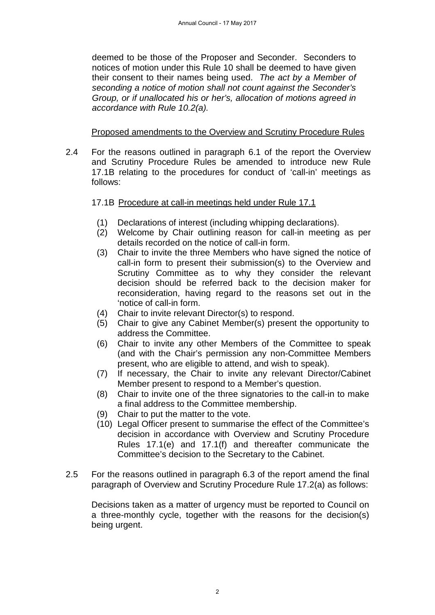deemed to be those of the Proposer and Seconder. Seconders to notices of motion under this Rule 10 shall be deemed to have given their consent to their names being used. *The act by a Member of seconding a notice of motion shall not count against the Seconder's Group, or if unallocated his or her's, allocation of motions agreed in accordance with Rule 10.2(a).* 

#### Proposed amendments to the Overview and Scrutiny Procedure Rules

2.4 For the reasons outlined in paragraph 6.1 of the report the Overview and Scrutiny Procedure Rules be amended to introduce new Rule 17.1B relating to the procedures for conduct of 'call-in' meetings as follows:

#### 17.1B Procedure at call-in meetings held under Rule 17.1

- (1) Declarations of interest (including whipping declarations).
- (2) Welcome by Chair outlining reason for call-in meeting as per details recorded on the notice of call-in form.
- (3) Chair to invite the three Members who have signed the notice of call-in form to present their submission(s) to the Overview and Scrutiny Committee as to why they consider the relevant decision should be referred back to the decision maker for reconsideration, having regard to the reasons set out in the 'notice of call-in form.
- (4) Chair to invite relevant Director(s) to respond.
- (5) Chair to give any Cabinet Member(s) present the opportunity to address the Committee.
- (6) Chair to invite any other Members of the Committee to speak (and with the Chair's permission any non-Committee Members present, who are eligible to attend, and wish to speak).
- (7) If necessary, the Chair to invite any relevant Director/Cabinet Member present to respond to a Member's question.
- (8) Chair to invite one of the three signatories to the call-in to make a final address to the Committee membership.
- (9) Chair to put the matter to the vote.
- (10) Legal Officer present to summarise the effect of the Committee's decision in accordance with Overview and Scrutiny Procedure Rules 17.1(e) and 17.1(f) and thereafter communicate the Committee's decision to the Secretary to the Cabinet.
- 2.5 For the reasons outlined in paragraph 6.3 of the report amend the final paragraph of Overview and Scrutiny Procedure Rule 17.2(a) as follows:

Decisions taken as a matter of urgency must be reported to Council on a three-monthly cycle, together with the reasons for the decision(s) being urgent.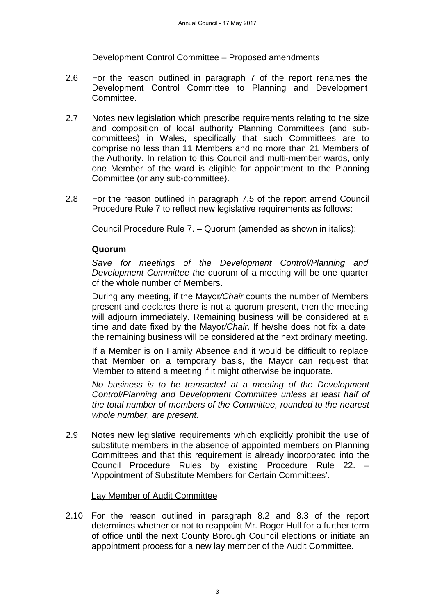#### Development Control Committee – Proposed amendments

- 2.6 For the reason outlined in paragraph 7 of the report renames the Development Control Committee to Planning and Development Committee.
- 2.7 Notes new legislation which prescribe requirements relating to the size and composition of local authority Planning Committees (and subcommittees) in Wales, specifically that such Committees are to comprise no less than 11 Members and no more than 21 Members of the Authority. In relation to this Council and multi-member wards, only one Member of the ward is eligible for appointment to the Planning Committee (or any sub-committee).
- 2.8 For the reason outlined in paragraph 7.5 of the report amend Council Procedure Rule 7 to reflect new legislative requirements as follows:

Council Procedure Rule 7. – Quorum (amended as shown in italics):

#### **Quorum**

*Save for meetings of the Development Control/Planning and Development Committee t*he quorum of a meeting will be one quarter of the whole number of Members.

During any meeting, if the Mayor*/Chair* counts the number of Members present and declares there is not a quorum present, then the meeting will adjourn immediately. Remaining business will be considered at a time and date fixed by the Mayor*/Chair*. If he/she does not fix a date, the remaining business will be considered at the next ordinary meeting.

If a Member is on Family Absence and it would be difficult to replace that Member on a temporary basis, the Mayor can request that Member to attend a meeting if it might otherwise be inquorate.

*No business is to be transacted at a meeting of the Development Control/Planning and Development Committee unless at least half of the total number of members of the Committee, rounded to the nearest whole number, are present.*

2.9 Notes new legislative requirements which explicitly prohibit the use of substitute members in the absence of appointed members on Planning Committees and that this requirement is already incorporated into the Council Procedure Rules by existing Procedure Rule 22. 'Appointment of Substitute Members for Certain Committees'.

#### Lay Member of Audit Committee

2.10 For the reason outlined in paragraph 8.2 and 8.3 of the report determines whether or not to reappoint Mr. Roger Hull for a further term of office until the next County Borough Council elections or initiate an appointment process for a new lay member of the Audit Committee.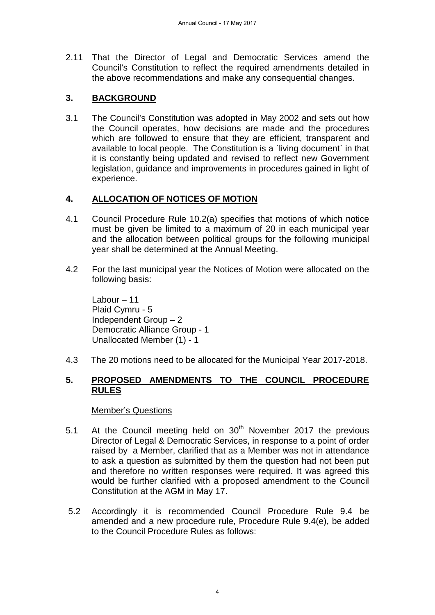2.11 That the Director of Legal and Democratic Services amend the Council's Constitution to reflect the required amendments detailed in the above recommendations and make any consequential changes.

## **3. BACKGROUND**

3.1 The Council's Constitution was adopted in May 2002 and sets out how the Council operates, how decisions are made and the procedures which are followed to ensure that they are efficient, transparent and available to local people. The Constitution is a `living document` in that it is constantly being updated and revised to reflect new Government legislation, guidance and improvements in procedures gained in light of experience.

## **4. ALLOCATION OF NOTICES OF MOTION**

- 4.1 Council Procedure Rule 10.2(a) specifies that motions of which notice must be given be limited to a maximum of 20 in each municipal year and the allocation between political groups for the following municipal year shall be determined at the Annual Meeting.
- 4.2 For the last municipal year the Notices of Motion were allocated on the following basis:

Labour – 11 Plaid Cymru - 5 Independent Group – 2 Democratic Alliance Group - 1 Unallocated Member (1) - 1

4.3 The 20 motions need to be allocated for the Municipal Year 2017-2018.

#### **5. PROPOSED AMENDMENTS TO THE COUNCIL PROCEDURE RULES**

#### Member's Questions

- 5.1 At the Council meeting held on  $30<sup>th</sup>$  November 2017 the previous Director of Legal & Democratic Services, in response to a point of order raised by a Member, clarified that as a Member was not in attendance to ask a question as submitted by them the question had not been put and therefore no written responses were required. It was agreed this would be further clarified with a proposed amendment to the Council Constitution at the AGM in May 17.
- 5.2 Accordingly it is recommended Council Procedure Rule 9.4 be amended and a new procedure rule, Procedure Rule 9.4(e), be added to the Council Procedure Rules as follows: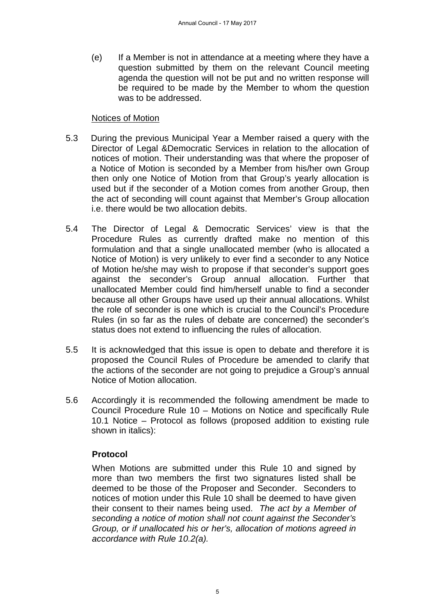(e) If a Member is not in attendance at a meeting where they have a question submitted by them on the relevant Council meeting agenda the question will not be put and no written response will be required to be made by the Member to whom the question was to be addressed.

#### Notices of Motion

- 5.3 During the previous Municipal Year a Member raised a query with the Director of Legal &Democratic Services in relation to the allocation of notices of motion. Their understanding was that where the proposer of a Notice of Motion is seconded by a Member from his/her own Group then only one Notice of Motion from that Group's yearly allocation is used but if the seconder of a Motion comes from another Group, then the act of seconding will count against that Member's Group allocation i.e. there would be two allocation debits.
- 5.4 The Director of Legal & Democratic Services' view is that the Procedure Rules as currently drafted make no mention of this formulation and that a single unallocated member (who is allocated a Notice of Motion) is very unlikely to ever find a seconder to any Notice of Motion he/she may wish to propose if that seconder's support goes against the seconder's Group annual allocation. Further that unallocated Member could find him/herself unable to find a seconder because all other Groups have used up their annual allocations. Whilst the role of seconder is one which is crucial to the Council's Procedure Rules (in so far as the rules of debate are concerned) the seconder's status does not extend to influencing the rules of allocation.
- 5.5 It is acknowledged that this issue is open to debate and therefore it is proposed the Council Rules of Procedure be amended to clarify that the actions of the seconder are not going to prejudice a Group's annual Notice of Motion allocation.
- 5.6 Accordingly it is recommended the following amendment be made to Council Procedure Rule 10 – Motions on Notice and specifically Rule 10.1 Notice – Protocol as follows (proposed addition to existing rule shown in italics):

#### **Protocol**

When Motions are submitted under this Rule 10 and signed by more than two members the first two signatures listed shall be deemed to be those of the Proposer and Seconder. Seconders to notices of motion under this Rule 10 shall be deemed to have given their consent to their names being used. *The act by a Member of seconding a notice of motion shall not count against the Seconder's Group, or if unallocated his or her's, allocation of motions agreed in accordance with Rule 10.2(a).*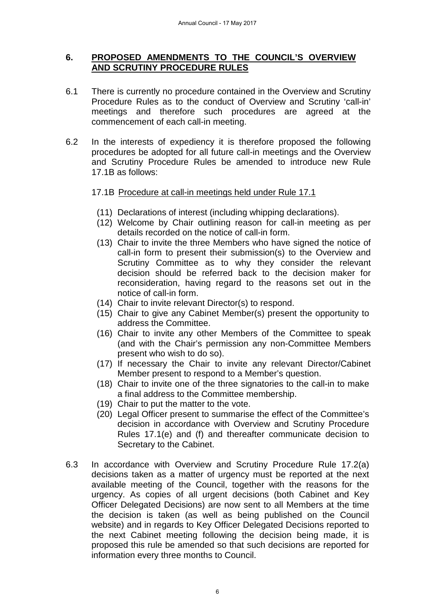#### **6. PROPOSED AMENDMENTS TO THE COUNCIL'S OVERVIEW AND SCRUTINY PROCEDURE RULES**

- 6.1 There is currently no procedure contained in the Overview and Scrutiny Procedure Rules as to the conduct of Overview and Scrutiny 'call-in' meetings and therefore such procedures are agreed at the commencement of each call-in meeting.
- 6.2 In the interests of expediency it is therefore proposed the following procedures be adopted for all future call-in meetings and the Overview and Scrutiny Procedure Rules be amended to introduce new Rule 17.1B as follows:

#### 17.1B Procedure at call-in meetings held under Rule 17.1

- (11) Declarations of interest (including whipping declarations).
- (12) Welcome by Chair outlining reason for call-in meeting as per details recorded on the notice of call-in form.
- (13) Chair to invite the three Members who have signed the notice of call-in form to present their submission(s) to the Overview and Scrutiny Committee as to why they consider the relevant decision should be referred back to the decision maker for reconsideration, having regard to the reasons set out in the notice of call-in form.
- (14) Chair to invite relevant Director(s) to respond.
- (15) Chair to give any Cabinet Member(s) present the opportunity to address the Committee.
- (16) Chair to invite any other Members of the Committee to speak (and with the Chair's permission any non-Committee Members present who wish to do so).
- (17) If necessary the Chair to invite any relevant Director/Cabinet Member present to respond to a Member's question.
- (18) Chair to invite one of the three signatories to the call-in to make a final address to the Committee membership.
- (19) Chair to put the matter to the vote.
- (20) Legal Officer present to summarise the effect of the Committee's decision in accordance with Overview and Scrutiny Procedure Rules 17.1(e) and (f) and thereafter communicate decision to Secretary to the Cabinet.
- 6.3 In accordance with Overview and Scrutiny Procedure Rule 17.2(a) decisions taken as a matter of urgency must be reported at the next available meeting of the Council, together with the reasons for the urgency. As copies of all urgent decisions (both Cabinet and Key Officer Delegated Decisions) are now sent to all Members at the time the decision is taken (as well as being published on the Council website) and in regards to Key Officer Delegated Decisions reported to the next Cabinet meeting following the decision being made, it is proposed this rule be amended so that such decisions are reported for information every three months to Council.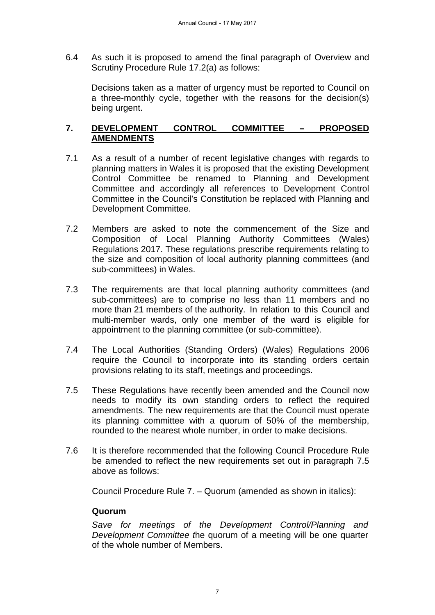6.4 As such it is proposed to amend the final paragraph of Overview and Scrutiny Procedure Rule 17.2(a) as follows:

Decisions taken as a matter of urgency must be reported to Council on a three-monthly cycle, together with the reasons for the decision(s) being urgent.

#### **7. DEVELOPMENT CONTROL COMMITTEE – PROPOSED AMENDMENTS**

- 7.1 As a result of a number of recent legislative changes with regards to planning matters in Wales it is proposed that the existing Development Control Committee be renamed to Planning and Development Committee and accordingly all references to Development Control Committee in the Council's Constitution be replaced with Planning and Development Committee.
- 7.2 Members are asked to note the commencement of the Size and Composition of Local Planning Authority Committees (Wales) Regulations 2017. These regulations prescribe requirements relating to the size and composition of local authority planning committees (and sub-committees) in Wales.
- 7.3 The requirements are that local planning authority committees (and sub-committees) are to comprise no less than 11 members and no more than 21 members of the authority. In relation to this Council and multi-member wards, only one member of the ward is eligible for appointment to the planning committee (or sub-committee).
- 7.4 The Local Authorities (Standing Orders) (Wales) Regulations 2006 require the Council to incorporate into its standing orders certain provisions relating to its staff, meetings and proceedings.
- 7.5 These Regulations have recently been amended and the Council now needs to modify its own standing orders to reflect the required amendments. The new requirements are that the Council must operate its planning committee with a quorum of 50% of the membership, rounded to the nearest whole number, in order to make decisions.
- 7.6 It is therefore recommended that the following Council Procedure Rule be amended to reflect the new requirements set out in paragraph 7.5 above as follows:

Council Procedure Rule 7. – Quorum (amended as shown in italics):

#### **Quorum**

*Save for meetings of the Development Control/Planning and Development Committee t*he quorum of a meeting will be one quarter of the whole number of Members.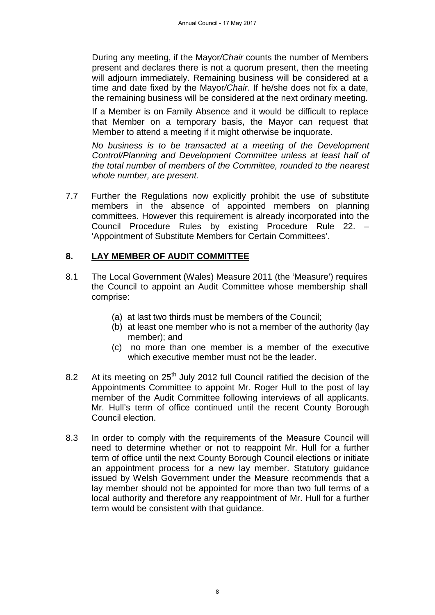During any meeting, if the Mayor*/Chair* counts the number of Members present and declares there is not a quorum present, then the meeting will adjourn immediately. Remaining business will be considered at a time and date fixed by the Mayor*/Chair*. If he/she does not fix a date, the remaining business will be considered at the next ordinary meeting.

If a Member is on Family Absence and it would be difficult to replace that Member on a temporary basis, the Mayor can request that Member to attend a meeting if it might otherwise be inquorate.

*No business is to be transacted at a meeting of the Development Control/Planning and Development Committee unless at least half of the total number of members of the Committee, rounded to the nearest whole number, are present.*

7.7 Further the Regulations now explicitly prohibit the use of substitute members in the absence of appointed members on planning committees. However this requirement is already incorporated into the Council Procedure Rules by existing Procedure Rule 22. – 'Appointment of Substitute Members for Certain Committees'.

#### **8. LAY MEMBER OF AUDIT COMMITTEE**

- 8.1 The Local Government (Wales) Measure 2011 (the 'Measure') requires the Council to appoint an Audit Committee whose membership shall comprise:
	- (a) at last two thirds must be members of the Council;
	- (b) at least one member who is not a member of the authority (lay member); and
	- (c) no more than one member is a member of the executive which executive member must not be the leader.
- 8.2 At its meeting on 25<sup>th</sup> July 2012 full Council ratified the decision of the Appointments Committee to appoint Mr. Roger Hull to the post of lay member of the Audit Committee following interviews of all applicants. Mr. Hull's term of office continued until the recent County Borough Council election.
- 8.3 In order to comply with the requirements of the Measure Council will need to determine whether or not to reappoint Mr. Hull for a further term of office until the next County Borough Council elections or initiate an appointment process for a new lay member. Statutory guidance issued by Welsh Government under the Measure recommends that a lay member should not be appointed for more than two full terms of a local authority and therefore any reappointment of Mr. Hull for a further term would be consistent with that guidance.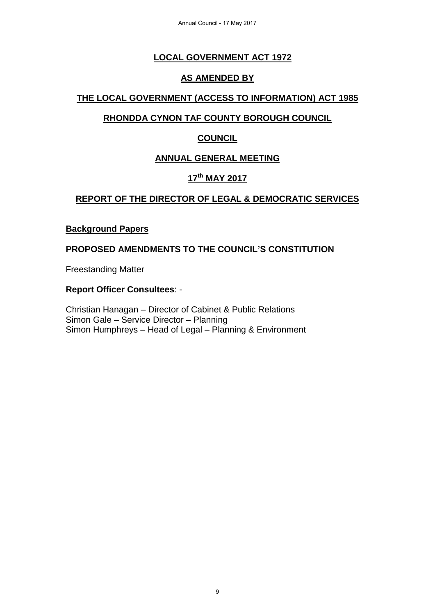Annual Council - 17 May 2017

## **LOCAL GOVERNMENT ACT 1972**

#### **AS AMENDED BY**

## **THE LOCAL GOVERNMENT (ACCESS TO INFORMATION) ACT 1985**

## **RHONDDA CYNON TAF COUNTY BOROUGH COUNCIL**

## **COUNCIL**

## **ANNUAL GENERAL MEETING**

## **17th MAY 2017**

## **REPORT OF THE DIRECTOR OF LEGAL & DEMOCRATIC SERVICES**

#### **Background Papers**

#### **PROPOSED AMENDMENTS TO THE COUNCIL'S CONSTITUTION**

Freestanding Matter

#### **Report Officer Consultees**: -

Christian Hanagan – Director of Cabinet & Public Relations Simon Gale – Service Director – Planning Simon Humphreys – Head of Legal – Planning & Environment